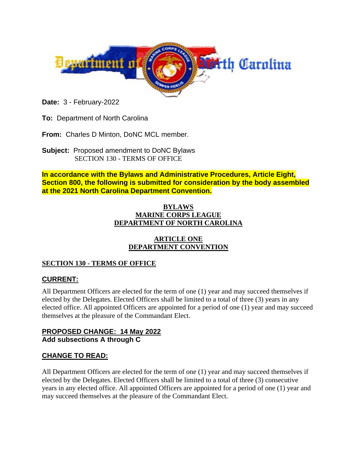

**Date:** 3 - February-2022

**To:** Department of North Carolina

**From:** Charles D Minton, DoNC MCL member.

**Subject:** Proposed amendment to DoNC Bylaws SECTION 130 - TERMS OF OFFICE

**In accordance with the Bylaws and Administrative Procedures, Article Eight, Section 800, the following is submitted for consideration by the body assembled at the 2021 North Carolina Department Convention.**

#### **BYLAWS MARINE CORPS LEAGUE DEPARTMENT OF NORTH CAROLINA**

#### **ARTICLE ONE DEPARTMENT CONVENTION**

## **SECTION 130 - TERMS OF OFFICE**

## **CURRENT:**

All Department Officers are elected for the term of one (1) year and may succeed themselves if elected by the Delegates. Elected Officers shall be limited to a total of three (3) years in any elected office. All appointed Officers are appointed for a period of one (1) year and may succeed themselves at the pleasure of the Commandant Elect.

## **PROPOSED CHANGE: 14 May 2022 Add subsections A through C**

## **CHANGE TO READ:**

All Department Officers are elected for the term of one (1) year and may succeed themselves if elected by the Delegates. Elected Officers shall be limited to a total of three (3) consecutive years in any elected office. All appointed Officers are appointed for a period of one (1) year and may succeed themselves at the pleasure of the Commandant Elect.